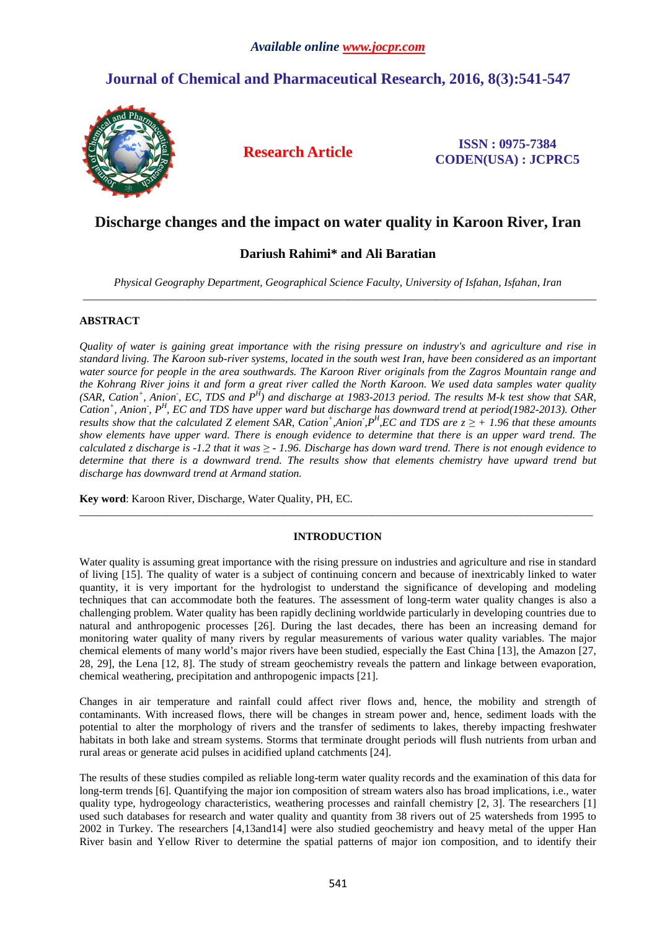# **Journal of Chemical and Pharmaceutical Research, 2016, 8(3):541-547**



**Research Article ISSN : 0975-7384 CODEN(USA) : JCPRC5**

## **Discharge changes and the impact on water quality in Karoon River, Iran**

## **Dariush Rahimi\* and Ali Baratian**

*Physical Geography Department, Geographical Science Faculty, University of Isfahan, Isfahan, Iran*  \_\_\_\_\_\_\_\_\_\_\_\_\_\_\_\_\_\_\_\_\_\_\_\_\_\_\_\_\_\_\_\_\_\_\_\_\_\_\_\_\_\_\_\_\_\_\_\_\_\_\_\_\_\_\_\_\_\_\_\_\_\_\_\_\_\_\_\_\_\_\_\_\_\_\_\_\_\_\_\_\_\_\_\_\_\_\_\_\_\_\_\_\_

### **ABSTRACT**

*Quality of water is gaining great importance with the rising pressure on industry's and agriculture and rise in standard living. The Karoon sub-river systems, located in the south west Iran, have been considered as an important water source for people in the area southwards. The Karoon River originals from the Zagros Mountain range and the Kohrang River joins it and form a great river called the North Karoon. We used data samples water quality (SAR, Cation<sup>+</sup> , Anion- , EC, TDS and P<sup>H</sup> ) and discharge at 1983-2013 period. The results M-k test show that SAR, Cation<sup>+</sup> , Anion- , P<sup>H</sup> , EC and TDS have upper ward but discharge has downward trend at period(1982-2013). Other results show that the calculated Z element SAR, Cation<sup>+</sup>,Anion<sup>†</sup>,* $P^H$ *,EC and TDS are*  $z \geq +1.96$  *that these amounts show elements have upper ward. There is enough evidence to determine that there is an upper ward trend. The calculated z discharge is -1.2 that it was ≥ - 1.96. Discharge has down ward trend. There is not enough evidence to determine that there is a downward trend. The results show that elements chemistry have upward trend but discharge has downward trend at Armand station.* 

**Key word**: Karoon River, Discharge, Water Quality, PH, EC.

### **INTRODUCTION**

 $\overline{a}$  , and the contribution of the contribution of the contribution of the contribution of the contribution of the contribution of the contribution of the contribution of the contribution of the contribution of the co

Water quality is assuming great importance with the rising pressure on industries and agriculture and rise in standard of living [15]. The quality of water is a subject of continuing concern and because of inextricably linked to water quantity, it is very important for the hydrologist to understand the significance of developing and modeling techniques that can accommodate both the features. The assessment of long-term water quality changes is also a challenging problem. Water quality has been rapidly declining worldwide particularly in developing countries due to natural and anthropogenic processes [26]. During the last decades, there has been an increasing demand for monitoring water quality of many rivers by regular measurements of various water quality variables. The major chemical elements of many world's major rivers have been studied, especially the East China [13], the Amazon [27, 28, 29], the Lena [12, 8]. The study of stream geochemistry reveals the pattern and linkage between evaporation, chemical weathering, precipitation and anthropogenic impacts [21].

Changes in air temperature and rainfall could affect river flows and, hence, the mobility and strength of contaminants. With increased flows, there will be changes in stream power and, hence, sediment loads with the potential to alter the morphology of rivers and the transfer of sediments to lakes, thereby impacting freshwater habitats in both lake and stream systems. Storms that terminate drought periods will flush nutrients from urban and rural areas or generate acid pulses in acidified upland catchments [24].

The results of these studies compiled as reliable long-term water quality records and the examination of this data for long-term trends [6]. Quantifying the major ion composition of stream waters also has broad implications, i.e., water quality type, hydrogeology characteristics, weathering processes and rainfall chemistry [2, 3]. The researchers [1] used such databases for research and water quality and quantity from 38 rivers out of 25 watersheds from 1995 to 2002 in Turkey. The researchers [4,13and14] were also studied geochemistry and heavy metal of the upper Han River basin and Yellow River to determine the spatial patterns of major ion composition, and to identify their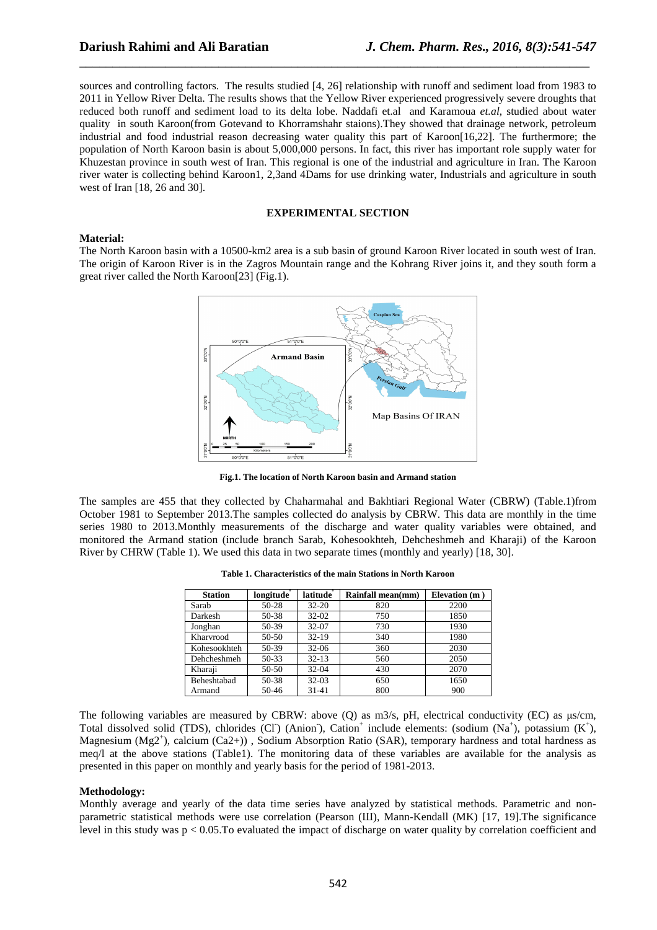sources and controlling factors. The results studied [4, 26] relationship with runoff and sediment load from 1983 to 2011 in Yellow River Delta. The results shows that the Yellow River experienced progressively severe droughts that reduced both runoff and sediment load to its delta lobe. Naddafi et.al and Karamoua *et.al*, studied about water quality in south Karoon(from Gotevand to Khorramshahr staions).They showed that drainage network, petroleum industrial and food industrial reason decreasing water quality this part of Karoon[16,22]. The furthermore; the population of North Karoon basin is about 5,000,000 persons. In fact, this river has important role supply water for Khuzestan province in south west of Iran. This regional is one of the industrial and agriculture in Iran. The Karoon river water is collecting behind Karoon1, 2,3and 4Dams for use drinking water, Industrials and agriculture in south west of Iran [18, 26 and 30].

\_\_\_\_\_\_\_\_\_\_\_\_\_\_\_\_\_\_\_\_\_\_\_\_\_\_\_\_\_\_\_\_\_\_\_\_\_\_\_\_\_\_\_\_\_\_\_\_\_\_\_\_\_\_\_\_\_\_\_\_\_\_\_\_\_\_\_\_\_\_\_\_\_\_\_\_\_

#### **EXPERIMENTAL SECTION**

#### **Material:**

The North Karoon basin with a 10500-km2 area is a sub basin of ground Karoon River located in south west of Iran. The origin of Karoon River is in the Zagros Mountain range and the Kohrang River joins it, and they south form a great river called the North Karoon[23] (Fig.1).



**Fig.1. The location of North Karoon basin and Armand station** 

The samples are 455 that they collected by Chaharmahal and Bakhtiari Regional Water (CBRW) (Table.1)from October 1981 to September 2013.The samples collected do analysis by CBRW. This data are monthly in the time series 1980 to 2013.Monthly measurements of the discharge and water quality variables were obtained, and monitored the Armand station (include branch Sarab, Kohesookhteh, Dehcheshmeh and Kharaji) of the Karoon River by CHRW (Table 1). We used this data in two separate times (monthly and yearly) [18, 30].

| <b>Station</b>     | longitude | latitude  | Rainfall mean(mm) | Elevation $(m)$ |
|--------------------|-----------|-----------|-------------------|-----------------|
| Sarab              | 50-28     | $32 - 20$ | 820               | 2200            |
| Darkesh            | 50-38     | $32 - 02$ | 750               | 1850            |
| Jonghan            | 50-39     | 32-07     | 730               | 1930            |
| Kharvrood          | 50-50     | $32-19$   | 340               | 1980            |
| Kohesookhteh       | 50-39     | $32 - 06$ | 360               | 2030            |
| Dehcheshmeh        | 50-33     | $32 - 13$ | 560               | 2050            |
| Kharaji            | 50-50     | $32 - 04$ | 430               | 2070            |
| <b>Beheshtabad</b> | 50-38     | $32 - 03$ | 650               | 1650            |
| Armand             | $50-46$   | $31 - 41$ | 800               | 900             |

**Table 1. Characteristics of the main Stations in North Karoon** 

The following variables are measured by CBRW: above  $(Q)$  as m3/s, pH, electrical conductivity (EC) as  $\mu s/cm$ , Total dissolved solid (TDS), chlorides (Cl) (Anion), Cation<sup>+</sup> include elements: (sodium (Na<sup>+</sup>), potassium (K<sup>+</sup>), Magnesium (Mg2<sup>+</sup>), calcium (Ca2+)), Sodium Absorption Ratio (SAR), temporary hardness and total hardness as meq/l at the above stations (Table1). The monitoring data of these variables are available for the analysis as presented in this paper on monthly and yearly basis for the period of 1981-2013.

#### **Methodology:**

Monthly average and yearly of the data time series have analyzed by statistical methods. Parametric and nonparametric statistical methods were use correlation (Pearson (Ш), Mann-Kendall (MK) [17, 19].The significance level in this study was  $p < 0.05$ . To evaluated the impact of discharge on water quality by correlation coefficient and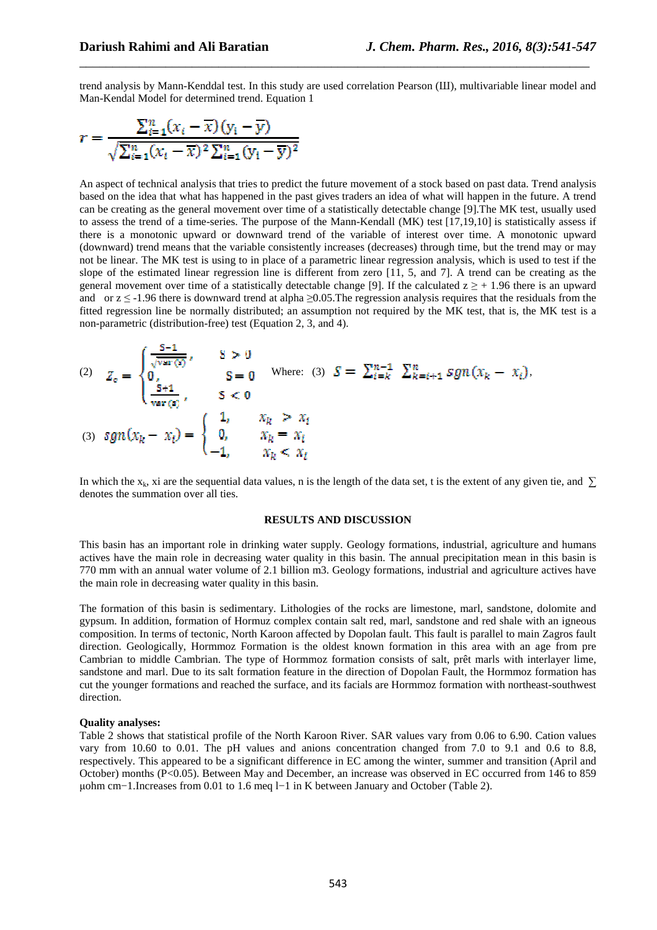trend analysis by Mann-Kenddal test. In this study are used correlation Pearson (Ш), multivariable linear model and Man-Kendal Model for determined trend. Equation 1

\_\_\_\_\_\_\_\_\_\_\_\_\_\_\_\_\_\_\_\_\_\_\_\_\_\_\_\_\_\_\_\_\_\_\_\_\_\_\_\_\_\_\_\_\_\_\_\_\_\_\_\_\_\_\_\_\_\_\_\_\_\_\_\_\_\_\_\_\_\_\_\_\_\_\_\_\_

$$
r = \frac{\sum_{i=1}^{n} (x_i - \overline{x})(y_i - \overline{y})}{\sqrt{\sum_{i=1}^{n} (x_i - \overline{x})^2 \sum_{i=1}^{n} (y_i - \overline{y})^2}}
$$

An aspect of technical analysis that tries to predict the future movement of a stock based on past data. Trend analysis based on the idea that what has happened in the past gives traders an idea of what will happen in the future. A trend can be creating as the general movement over time of a statistically detectable change [9].The MK test, usually used to assess the trend of a time-series. The purpose of the Mann-Kendall (MK) test [17,19,10] is statistically assess if there is a monotonic upward or downward trend of the variable of interest over time. A monotonic upward (downward) trend means that the variable consistently increases (decreases) through time, but the trend may or may not be linear. The MK test is using to in place of a parametric linear regression analysis, which is used to test if the slope of the estimated linear regression line is different from zero [11, 5, and 7]. A trend can be creating as the general movement over time of a statistically detectable change [9]. If the calculated  $z \geq +1.96$  there is an upward and or  $z \le -1.96$  there is downward trend at alpha  $\ge 0.05$ . The regression analysis requires that the residuals from the fitted regression line be normally distributed; an assumption not required by the MK test, that is, the MK test is a non-parametric (distribution-free) test (Equation 2, 3, and 4).

(2) 
$$
Z_c = \begin{cases} \frac{S-1}{\sqrt{\text{var}(s)}}, & S > 0 \\ 0, & S = 0 \end{cases}
$$
 Where: (3)  $S = \sum_{i=k}^{n-1} \sum_{k=i+1}^{n} sgn(x_k - x_i),$   
\n(3)  $sgn(x_k - x_i) = \begin{cases} 1, & x_k > x_i \\ 0, & x_k = x_i \\ -1, & x_k < x_i \end{cases}$ 

In which the x<sub>k</sub>, xi are the sequential data values, n is the length of the data set, t is the extent of any given tie, and  $\sum$ denotes the summation over all ties.

#### **RESULTS AND DISCUSSION**

This basin has an important role in drinking water supply. Geology formations, industrial, agriculture and humans actives have the main role in decreasing water quality in this basin. The annual precipitation mean in this basin is 770 mm with an annual water volume of 2.1 billion m3. Geology formations, industrial and agriculture actives have the main role in decreasing water quality in this basin.

The formation of this basin is sedimentary. Lithologies of the rocks are limestone, marl, sandstone, dolomite and gypsum. In addition, formation of Hormuz complex contain salt red, marl, sandstone and red shale with an igneous composition. In terms of tectonic, North Karoon affected by Dopolan fault. This fault is parallel to main Zagros fault direction. Geologically, Hormmoz Formation is the oldest known formation in this area with an age from pre Cambrian to middle Cambrian. The type of Hormmoz formation consists of salt, prêt marls with interlayer lime, sandstone and marl. Due to its salt formation feature in the direction of Dopolan Fault, the Hormmoz formation has cut the younger formations and reached the surface, and its facials are Hormmoz formation with northeast-southwest direction.

#### **Quality analyses:**

Table 2 shows that statistical profile of the North Karoon River. SAR values vary from 0.06 to 6.90. Cation values vary from 10.60 to 0.01. The pH values and anions concentration changed from 7.0 to 9.1 and 0.6 to 8.8, respectively. This appeared to be a significant difference in EC among the winter, summer and transition (April and October) months (P<0.05). Between May and December, an increase was observed in EC occurred from 146 to 859 µohm cm−1.Increases from 0.01 to 1.6 meq l−1 in K between January and October (Table 2).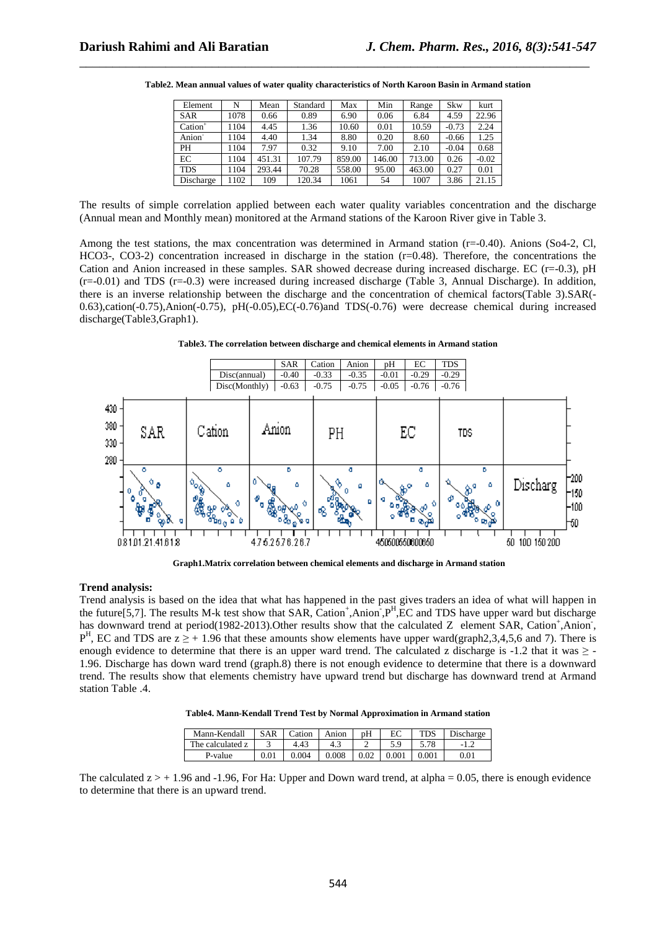| Element             | N    | Mean   | Standard | Max    | Min    | Range  | Skw     | kurt    |
|---------------------|------|--------|----------|--------|--------|--------|---------|---------|
| <b>SAR</b>          | 1078 | 0.66   | 0.89     | 6.90   | 0.06   | 6.84   | 4.59    | 22.96   |
| $\mathrm{Cation}^+$ | 1104 | 4.45   | 1.36     | 10.60  | 0.01   | 10.59  | $-0.73$ | 2.24    |
| Anion <sup>-</sup>  | 1104 | 4.40   | 1.34     | 8.80   | 0.20   | 8.60   | $-0.66$ | 1.25    |
| PH                  | 1104 | 7.97   | 0.32     | 9.10   | 7.00   | 2.10   | $-0.04$ | 0.68    |
| EC                  | 1104 | 451.31 | 107.79   | 859.00 | 146.00 | 713.00 | 0.26    | $-0.02$ |
| <b>TDS</b>          | 1104 | 293.44 | 70.28    | 558.00 | 95.00  | 463.00 | 0.27    | 0.01    |
| Discharge           | 1102 | 109    | 120.34   | 1061   | 54     | 1007   | 3.86    | 21.15   |

**Table2. Mean annual values of water quality characteristics of North Karoon Basin in Armand station**

\_\_\_\_\_\_\_\_\_\_\_\_\_\_\_\_\_\_\_\_\_\_\_\_\_\_\_\_\_\_\_\_\_\_\_\_\_\_\_\_\_\_\_\_\_\_\_\_\_\_\_\_\_\_\_\_\_\_\_\_\_\_\_\_\_\_\_\_\_\_\_\_\_\_\_\_\_

The results of simple correlation applied between each water quality variables concentration and the discharge (Annual mean and Monthly mean) monitored at the Armand stations of the Karoon River give in Table 3.

Among the test stations, the max concentration was determined in Armand station (r=-0.40). Anions (So4-2, Cl, HCO3-, CO3-2) concentration increased in discharge in the station (r=0.48). Therefore, the concentrations the Cation and Anion increased in these samples. SAR showed decrease during increased discharge. EC (r=-0.3), pH (r=-0.01) and TDS (r=-0.3) were increased during increased discharge (Table 3, Annual Discharge). In addition, there is an inverse relationship between the discharge and the concentration of chemical factors(Table 3).SAR(- 0.63),cation(-0.75),Anion(-0.75), pH(-0.05),EC(-0.76)and TDS(-0.76) were decrease chemical during increased discharge(Table3,Graph1).

**Table3. The correlation between discharge and chemical elements in Armand station** 



 **Graph1.Matrix correlation between chemical elements and discharge in Armand station** 

#### **Trend analysis:**

Trend analysis is based on the idea that what has happened in the past gives traders an idea of what will happen in the future[5,7]. The results M-k test show that SAR, Cation<sup>+</sup>,Anion<sup>-</sup>, $P^H$ ,EC and TDS have upper ward but discharge has downward trend at period(1982-2013). Other results show that the calculated Z element SAR, Cation<sup>+</sup>, Anion<sup>-</sup>,  $P<sup>H</sup>$ , EC and TDS are  $z \geq +1.96$  that these amounts show elements have upper ward(graph2,3,4,5,6 and 7). There is enough evidence to determine that there is an upper ward trend. The calculated z discharge is  $-1.2$  that it was  $\ge -1$ 1.96. Discharge has down ward trend (graph.8) there is not enough evidence to determine that there is a downward trend. The results show that elements chemistry have upward trend but discharge has downward trend at Armand station Table .4.

|  |  | Table4. Mann-Kendall Trend Test by Normal Approximation in Armand station |
|--|--|---------------------------------------------------------------------------|
|--|--|---------------------------------------------------------------------------|

| Mann-Kendall     | <b>SAR</b> | Cation | Anion | pH   | ЕC    | <b>TDS</b> | Discharge |
|------------------|------------|--------|-------|------|-------|------------|-----------|
| The calculated z |            | 4.43   |       | ∸    |       |            |           |
| P-value          | 0.01       | 0.004  | 0.008 | 0.02 | 0.001 | $_{0.001}$ | $_{0.01}$ |

The calculated  $z > +1.96$  and -1.96, For Ha: Upper and Down ward trend, at alpha = 0.05, there is enough evidence to determine that there is an upward trend.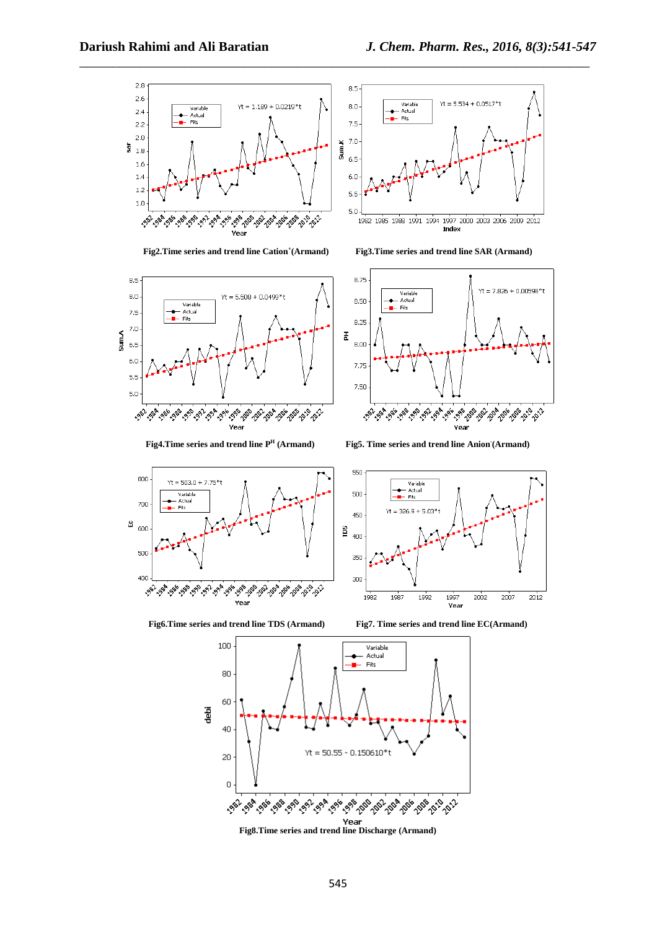

\_\_\_\_\_\_\_\_\_\_\_\_\_\_\_\_\_\_\_\_\_\_\_\_\_\_\_\_\_\_\_\_\_\_\_\_\_\_\_\_\_\_\_\_\_\_\_\_\_\_\_\_\_\_\_\_\_\_\_\_\_\_\_\_\_\_\_\_\_\_\_\_\_\_\_\_\_

Fig2.Time series and trend line Cation<sup>+</sup>(Armand)



**Fig4.Time series and trend line P<sup>H</sup>**



**(Armand) Fig3.Time series and trend line SAR (Armand)** 



 **(Armand) Fig5. Time series and trend line Anion- (Armand)**









**Fig8.Time series and trend line Discharge (Armand)**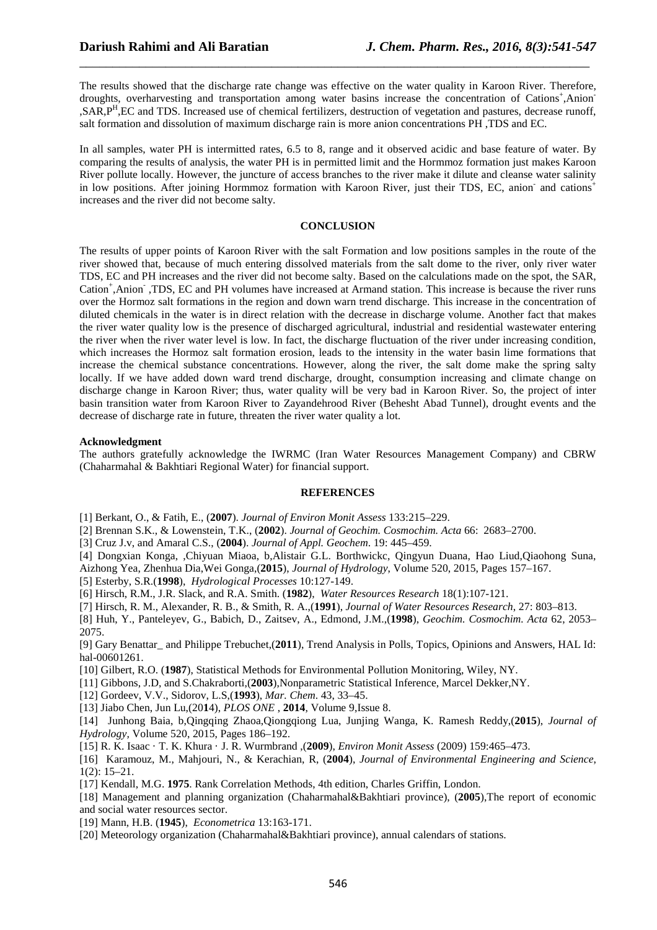The results showed that the discharge rate change was effective on the water quality in Karoon River. Therefore, droughts, overharvesting and transportation among water basins increase the concentration of Cations+,Anion-,SAR,P<sup>H</sup> ,EC and TDS. Increased use of chemical fertilizers, destruction of vegetation and pastures, decrease runoff, salt formation and dissolution of maximum discharge rain is more anion concentrations PH ,TDS and EC.

\_\_\_\_\_\_\_\_\_\_\_\_\_\_\_\_\_\_\_\_\_\_\_\_\_\_\_\_\_\_\_\_\_\_\_\_\_\_\_\_\_\_\_\_\_\_\_\_\_\_\_\_\_\_\_\_\_\_\_\_\_\_\_\_\_\_\_\_\_\_\_\_\_\_\_\_\_

In all samples, water PH is intermitted rates, 6.5 to 8, range and it observed acidic and base feature of water. By comparing the results of analysis, the water PH is in permitted limit and the Hormmoz formation just makes Karoon River pollute locally. However, the juncture of access branches to the river make it dilute and cleanse water salinity in low positions. After joining Hormmoz formation with Karoon River, just their TDS, EC, anion and cations<sup>+</sup> increases and the river did not become salty.

#### **CONCLUSION**

The results of upper points of Karoon River with the salt Formation and low positions samples in the route of the river showed that, because of much entering dissolved materials from the salt dome to the river, only river water TDS, EC and PH increases and the river did not become salty. Based on the calculations made on the spot, the SAR, Cation<sup>+</sup>,Anion<sup>-</sup>,TDS, EC and PH volumes have increased at Armand station. This increase is because the river runs over the Hormoz salt formations in the region and down warn trend discharge. This increase in the concentration of diluted chemicals in the water is in direct relation with the decrease in discharge volume. Another fact that makes the river water quality low is the presence of discharged agricultural, industrial and residential wastewater entering the river when the river water level is low. In fact, the discharge fluctuation of the river under increasing condition, which increases the Hormoz salt formation erosion, leads to the intensity in the water basin lime formations that increase the chemical substance concentrations. However, along the river, the salt dome make the spring salty locally. If we have added down ward trend discharge, drought, consumption increasing and climate change on discharge change in Karoon River; thus, water quality will be very bad in Karoon River. So, the project of inter basin transition water from Karoon River to Zayandehrood River (Behesht Abad Tunnel), drought events and the decrease of discharge rate in future, threaten the river water quality a lot.

#### **Acknowledgment**

The authors gratefully acknowledge the IWRMC (Iran Water Resources Management Company) and CBRW (Chaharmahal & Bakhtiari Regional Water) for financial support.

#### **REFERENCES**

[1] Berkant, O., & Fatih, E., (**2007**). *Journal of Environ Monit Assess* 133:215–229.

[2] Brennan S.K., & Lowenstein, T.K., (**2002**). *Journal of Geochim. Cosmochim. Acta* 66: 2683–2700.

[3] Cruz J.v, and Amaral C.S., (**2004**). *Journal of Appl. Geochem*. 19: 445–459.

[4] Dongxian Konga, ,Chiyuan Miaoa, b,Alistair G.L. Borthwickc, Qingyun Duana, Hao Liud,Qiaohong Suna,

Aizhong Yea, Zhenhua Dia,Wei Gonga,(**2015**), *Journal of Hydrology*, Volume 520, 2015, Pages 157–167.

[5] Esterby, S.R.(**1998**), *Hydrological Processes* 10:127-149.

[6] Hirsch, R.M., J.R. Slack, and R.A. Smith. (**1982**), *Water Resources Research* 18(1):107-121.

[7] Hirsch, R. M., Alexander, R. B., & Smith, R. A.,(**1991**), *Journal of Water Resources Research*, 27: 803–813.

[8] Huh, Y., Panteleyev, G., Babich, D., Zaitsev, A., Edmond, J.M.,(**1998**), *Geochim. Cosmochim. Acta* 62, 2053– 2075.

[9] Gary Benattar\_ and Philippe Trebuchet,(**2011**), Trend Analysis in Polls, Topics, Opinions and Answers, HAL Id: hal-00601261.

[10] Gilbert, R.O. (**1987**), Statistical Methods for Environmental Pollution Monitoring, Wiley, NY.

[11] Gibbons, J.D, and S.Chakraborti,(**2003**),Nonparametric Statistical Inference, Marcel Dekker,NY.

[12] Gordeev, V.V., Sidorov, L.S,(**1993**), *Mar. Chem*. 43, 33–45.

[13] Jiabo Chen, Jun Lu,(20**1**4), *PLOS ONE* , **2014**, Volume 9,Issue 8.

[14] Junhong Baia, b,Qingqing Zhaoa,Qiongqiong Lua, Junjing Wanga, K. Ramesh Reddy,(**2015**), *Journal of Hydrology,* Volume 520, 2015, Pages 186–192.

[15] R. K. Isaac · T. K. Khura · J. R. Wurmbrand ,(**2009**), *Environ Monit Assess* (2009) 159:465–473.

[16] Karamouz, M., Mahjouri, N., & Kerachian, R, (**2004**), *Journal of Environmental Engineering and Science*, 1(2): 15–21.

[17] Kendall, M.G. **1975**. Rank Correlation Methods, 4th edition, Charles Griffin, London.

[18] Management and planning organization (Chaharmahal&Bakhtiari province), (**2005**),The report of economic and social water resources sector.

[19] Mann, H.B. (**1945**), *Econometrica* 13:163-171.

[20] Meteorology organization (Chaharmahal&Bakhtiari province), annual calendars of stations.